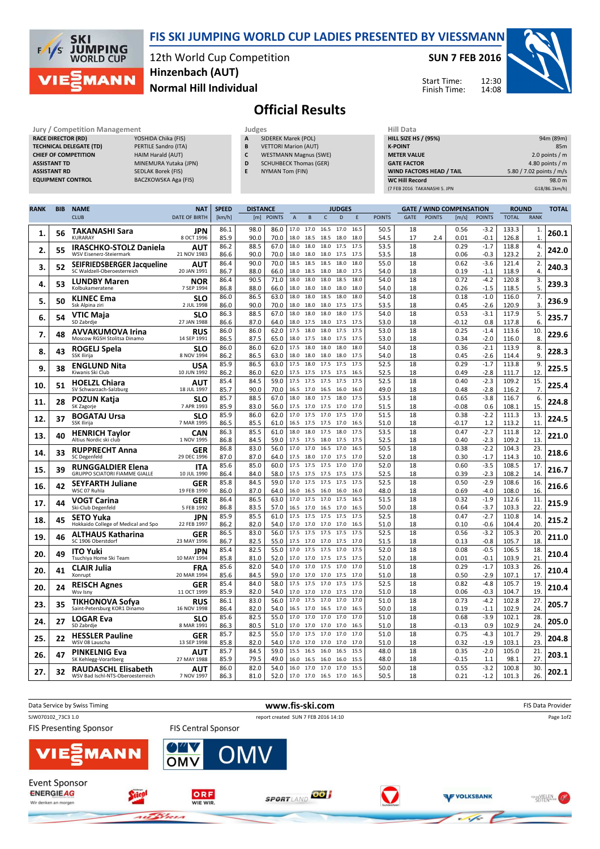

### FIS SKI JUMPING WORLD CUP LADIES PRESENTED BY VIESSMANN

12th World Cup Competition Normal Hill Individual Hinzenbach (AUT)

### SUN 7 FEB 2016

Start Time: Finish Time: 12:30 14:08



# Official Results

| <b>Jury / Competition Management</b> |                           | Judges | <b>Hill Data</b>              |                    |
|--------------------------------------|---------------------------|--------|-------------------------------|--------------------|
| <b>RACE DIRECTOR (RD)</b>            | YOSHIDA Chika (FIS)       | A      | SIDEREK Marek (POL)           | <b>HILL SIZE H</b> |
| <b>TECHNICAL DELEGATE (TD)</b>       | PERTILE Sandro (ITA)      | B      | <b>VETTORI Marion (AUT)</b>   | <b>K-POINT</b>     |
| <b>CHIEF OF COMPETITION</b>          | <b>HAIM Harald (AUT)</b>  | C      | <b>WESTMANN Magnus (SWE)</b>  | <b>METER VAI</b>   |
| <b>ASSISTANT TD</b>                  | MINEMURA Yutaka (JPN)     | D      | <b>SCHUHBECK Thomas (GER)</b> | <b>GATE FACT</b>   |
| <b>ASSISTANT RD</b>                  | <b>SEDLAK Borek (FIS)</b> |        | NYMAN Tom (FIN)               | <b>WIND FACT</b>   |
| <b>EQUIPMENT CONTROL</b>             | BACZKOWSKA Aga (FIS)      |        |                               | <b>WC Hill Red</b> |

- A SIDEREK Marek (POL)
- **B** VETTORI Marion (AUT) C WESTMANN Magnus (SWE)
- **D** SCHUHBECK Thomas (GER)
- E NYMAN Tom (FIN)

| Hiii Data                       |                          |
|---------------------------------|--------------------------|
| <b>HILL SIZE HS / (95%)</b>     | 94m (89m)                |
| <b>K-POINT</b>                  | 85 <sub>m</sub>          |
| <b>METER VALUE</b>              | 2.0 points $/m$          |
| <b>GATE FACTOR</b>              | 4.80 points $/m$         |
| <b>WIND FACTORS HEAD / TAIL</b> | 5.80 / 7.02 points / m/s |
| <b>WC Hill Record</b>           | 98.0 m                   |
| (7 FEB 2016 TAKANASHI S. JPN    | G18/86.1km/h)            |

| <b>RANK</b> | <b>BIB</b> | <b>NAME</b>                                                     | <b>NAT</b>               | <b>SPEED</b> | <b>DISTANCE</b> |               |              |                                       |              | <b>JUDGES</b> |              |               |          |               | <b>GATE / WIND COMPENSATION</b> |                  | <b>ROUND</b>   |                    | <b>TOTAL</b> |
|-------------|------------|-----------------------------------------------------------------|--------------------------|--------------|-----------------|---------------|--------------|---------------------------------------|--------------|---------------|--------------|---------------|----------|---------------|---------------------------------|------------------|----------------|--------------------|--------------|
|             |            | <b>CLUB</b>                                                     | <b>DATE OF BIRTH</b>     | [km/h]       | [m]             | <b>POINTS</b> | $\mathsf{A}$ | B                                     | $\mathsf{C}$ | $\mathsf D$   | Ε            | <b>POINTS</b> | GATE     | <b>POINTS</b> | [m/s]                           | <b>POINTS</b>    | <b>TOTAL</b>   | <b>RANK</b>        |              |
| 1.          | 56         | TAKANASHI Sara<br><b>KURARAY</b>                                | JPN<br>8 OCT 1996        | 86.1<br>85.9 | 98.0<br>90.0    | 86.0<br>70.0  | 18.0         | 17.0 17.0<br>18.5                     | 16.5<br>18.5 | 17.0<br>18.0  | 16.5<br>18.0 | 50.5<br>54.5  | 18<br>17 | 2.4           | 0.56<br>0.01                    | $-3.2$<br>$-0.1$ | 133.3<br>126.8 | 1.<br>$\mathbf{1}$ | 260.1        |
| 2.          | 55         | <b>IRASCHKO-STOLZ Daniela</b><br>WSV Eisenerz-Steiermark        | AUT<br>21 NOV 1983       | 86.2<br>86.6 | 88.5<br>90.0    | 67.0<br>70.0  | 18.0<br>18.0 | 18.0<br>18.0                          | 18.0<br>18.0 | 17.5<br>17.5  | 17.5<br>17.5 | 53.5<br>53.5  | 18<br>18 |               | 0.29<br>0.06                    | $-1.7$<br>$-0.3$ | 118.8<br>123.2 | 4.<br>2.           | 242.0        |
|             |            | SEIFRIEDSBERGER Jacqueline                                      | AUT                      | 86.4         | 90.0            | 70.0          | 18.5         | 18.5                                  | 18.5         | 18.0          | 18.0         | 55.0          | 18       |               | 0.62                            | $-3.6$           | 121.4          | 2.                 |              |
| 3.          | 52         | SC Waldzell-Oberoesterreich                                     | 20 JAN 1991              | 86.7         | 88.0            | 66.0          |              | 18.0 18.5                             | 18.0         | 18.0          | 17.5         | 54.0          | 18       |               | 0.19                            | $-1.1$           | 118.9          | 4.                 | 240.3        |
| 4.          | 53         | <b>LUNDBY Maren</b><br>Kolbukameratene                          | <b>NOR</b><br>7 SEP 1994 | 86.4<br>86.8 | 90.5<br>88.0    | 71.0<br>66.0  | 18.0<br>18.0 | 18.0<br>18.0                          | 18.0<br>18.0 | 18.5<br>18.0  | 18.0<br>18.0 | 54.0<br>54.0  | 18<br>18 |               | 0.72<br>0.26                    | $-4.2$<br>$-1.5$ | 120.8<br>118.5 | 3.<br>5.           | 239.3        |
|             |            | <b>KLINEC Ema</b>                                               | <b>SLO</b>               | 86.0         | 86.5            | 63.0          | 18.0         | 18.0                                  | 18.5         | 18.0          | 18.0         | 54.0          | 18       |               | 0.18                            | $-1.0$           | 116.0          | 7.                 |              |
| 5.          | 50         | Ssk Alpina ziri                                                 | 2 JUL 1998               | 86.0         | 90.0            | 70.0          | 18.0         | 18.0                                  | 18.0         | 17.5          | 17.5         | 53.5          | 18       |               | 0.45                            | $-2.6$           | 120.9          | 3.                 | 236.9        |
| 6.          | 54         | VTIC Maja                                                       | <b>SLO</b>               | 86.3         | 88.5            | 67.0          | 18.0         | 18.0                                  | 18.0         | 18.0          | 17.5         | 54.0          | 18       |               | 0.53                            | $-3.1$           | 117.9          | 5.                 | 235.7        |
|             |            | SD Zabrdje                                                      | 27 JAN 1988              | 86.6         | 87.0            | 64.0          |              | 18.0 17.5                             | 18.0         | 17.5          | 17.5         | 53.0          | 18       |               | $-0.12$                         | 0.8              | 117.8          | 6.                 |              |
| 7.          | 48         | <b>AVVAKUMOVA Irina</b><br>Moscow RGSH Stolitsa Dinamo          | RUS<br>14 SEP 1991       | 86.0<br>86.5 | 86.0<br>87.5    | 62.0<br>65.0  | 17.5<br>18.0 | 18.0<br>17.5                          | 18.0<br>18.0 | 17.5<br>17.5  | 17.5<br>17.5 | 53.0<br>53.0  | 18<br>18 |               | 0.25<br>0.34                    | $-1.4$<br>$-2.0$ | 113.6<br>116.0 | 10.<br>8.          | 229.6        |
| 8.          | 43         | ROGELJ Spela                                                    | SLO                      | 86.0         | 86.0            | 62.0          |              | 17.5 18.0                             | 18.0         | 18.0          | 18.0         | 54.0          | 18       |               | 0.36                            | $-2.1$           | 113.9          | 8.                 | 228.3        |
|             |            | SSK Ilirija                                                     | 8 NOV 1994               | 86.2         | 86.5            | 63.0          | 18.0         | 18.0                                  | 18.0         | 18.0          | 17.5         | 54.0          | 18       |               | 0.45                            | $-2.6$           | 114.4          | 9.                 |              |
| 9.          | 38         | <b>ENGLUND Nita</b><br>Kiwanis Ski Club                         | USA<br>10 JUN 1992       | 85.9         | 86.5<br>86.0    | 63.0<br>62.0  | 17.5         | 18.0                                  | 17.5<br>17.5 | 17.5<br>17.5  | 17.5<br>16.5 | 52.5          | 18<br>18 |               | 0.29<br>0.49                    | $-1.7$<br>$-2.8$ | 113.8          | 9.<br>12.          | 225.5        |
|             |            |                                                                 |                          | 86.2<br>85.4 | 84.5            | 59.0          | 17.5         | 17.5 17.5<br>17.5                     | 17.5         | 17.5          | 17.5         | 52.5<br>52.5  | 18       |               | 0.40                            | $-2.3$           | 111.7<br>109.2 | 15.                |              |
| 10.         | 51         | <b>HOELZL Chiara</b><br>SV Schwarzach-Salzburg                  | AUT<br>18 JUL 1997       | 85.7         | 90.0            | 70.0          | 16.5         | 17.0                                  | 16.5         | 16.0          | 16.0         | 49.0          | 18       |               | 0.48                            | $-2.8$           | 116.2          | 7.                 | 225.4        |
|             |            | POZUN Katja                                                     | <b>SLO</b>               | 85.7         | 88.5            | 67.0          |              | 18.0 18.0 17.5                        |              | 18.0          | 17.5         | 53.5          | 18       |               | 0.65                            | $-3.8$           | 116.7          | 6.                 | 224.8        |
| 11.         | 28         | SK Zagorje                                                      | 7 APR 1993               | 85.9         | 83.0            | 56.0          | 17.5         | 17.0                                  | 17.5         | 17.0          | 17.0         | 51.5          | 18       |               | $-0.08$                         | 0.6              | 108.1          | 15.                |              |
| 12.         | 37         | <b>BOGATAJ Ursa</b>                                             | <b>SLO</b>               | 85.9         | 86.0            | 62.0          | 17.0         | 17.5                                  | 17.0         | 17.5          | 17.0         | 51.5          | 18       |               | 0.38                            | $-2.2$           | 111.3          | 13.                | 224.5        |
|             |            | SSK Ilirija                                                     | 7 MAR 1995               | 86.5<br>86.3 | 85.5<br>85.5    | 61.0<br>61.0  | 18.0         | 16.5 17.5<br>18.0                     | 17.5<br>17.5 | 17.0<br>18.0  | 16.5<br>17.5 | 51.0<br>53.5  | 18<br>18 |               | $-0.17$<br>0.47                 | 1.2<br>$-2.7$    | 113.2<br>111.8 | 11.<br>12.         |              |
| 13.         | 40         | <b>HENRICH Taylor</b><br>Altius Nordic ski club                 | <b>CAN</b><br>1 NOV 1995 | 86.8         | 84.5            | 59.0          |              | 17.5 17.5                             | 18.0         | 17.5          | 17.5         | 52.5          | 18       |               | 0.40                            | $-2.3$           | 109.2          | 13.                | 221.0        |
|             |            | <b>RUPPRECHT Anna</b>                                           | GER                      | 86.8         | 83.0            | 56.0          |              | 17.0 17.0 16.5                        |              | 17.0          | 16.5         | 50.5          | 18       |               | 0.38                            | $-2.2$           | 104.3          | 23.                |              |
| 14.         | 33         | SC Degenfeld                                                    | 29 DEC 1996              | 87.0         | 87.0            | 64.0          | 17.5         | 18.0                                  | 17.0         | 17.5          | 17.0         | 52.0          | 18       |               | 0.30                            | $-1.7$           | 114.3          | 10.                | 218.6        |
| 15.         | 39         | <b>RUNGGALDIER Elena</b>                                        | ITA                      | 85.6         | 85.0            | 60.0          | 17.5         | 17.5 17.5                             |              | 17.0          | 17.0         | 52.0          | 18       |               | 0.60                            | $-3.5$           | 108.5          | 17.                | 216.7        |
|             |            | <b>GRUPPO SCIATORI FIAMME GIALLE</b>                            | 10 JUL 1990              | 86.4<br>85.8 | 84.0<br>84.5    | 58.0<br>59.0  | 17.0         | 17.5 17.5<br>17.5                     | 17.5<br>17.5 | 17.5<br>17.5  | 17.5<br>17.5 | 52.5<br>52.5  | 18<br>18 |               | 0.39<br>0.50                    | $-2.3$<br>$-2.9$ | 108.2<br>108.6 | 14.<br>16.         |              |
| 16.         | 42         | <b>SEYFARTH Juliane</b><br>WSC 07 Ruhla                         | GER<br>19 FEB 1990       | 86.0         | 87.0            | 64.0          |              | 16.0 16.5                             | 16.0         | 16.0          | 16.0         | 48.0          | 18       |               | 0.69                            | $-4.0$           | 108.0          | 16.                | 216.6        |
|             |            | VOGT Carina                                                     | GER                      | 86.4         | 86.5            | 63.0          |              | 17.0 17.5 17.0                        |              | 17.5          | 16.5         | 51.5          | 18       |               | 0.32                            | $-1.9$           | 112.6          | 11.                |              |
| 17.         | 44         | Ski-Club Degenfeld                                              | 5 FEB 1992               | 86.8         | 83.5            | 57.0          | 16.5         | 17.0                                  | 16.5         | 17.0          | 16.5         | 50.0          | 18       |               | 0.64                            | $-3.7$           | 103.3          | 22.                | 215.9        |
| 18.         | 45         | <b>SETO Yuka</b>                                                | <b>JPN</b>               | 85.9         | 85.5            | 61.0          |              | 17.5 17.5 17.5                        |              | 17.5          | 17.5         | 52.5          | 18       |               | 0.47                            | $-2.7$           | 110.8          | 14.                | 215.2        |
|             |            | Hokkaido College of Medical and Spo                             | 22 FEB 1997              | 86.2<br>86.5 | 82.0<br>83.0    | 54.0<br>56.0  | 17.5         | 17.0 17.0 17.0<br>17.5                | 17.5         | 17.0<br>17.5  | 16.5<br>17.5 | 51.0<br>52.5  | 18<br>18 |               | 0.10<br>0.56                    | $-0.6$<br>$-3.2$ | 104.4<br>105.3 | 20.<br>20.         |              |
| 19.         | 46         | <b>ALTHAUS Katharina</b><br>SC 1906 Oberstdorf                  | GER<br>23 MAY 1996       | 86.7         | 82.5            | 55.0          |              | 17.5 17.0                             | 17.0         | 17.5          | 17.0         | 51.5          | 18       |               | 0.13                            | $-0.8$           | 105.7          | 18.                | 211.0        |
|             |            | <b>ITO Yuki</b>                                                 | JPN                      | 85.4         | 82.5            | 55.0          | 17.0         | 17.5                                  | 17.5         | 17.0          | 17.5         | 52.0          | 18       |               | 0.08                            | $-0.5$           | 106.5          | 18.                |              |
| 20.         | 49         | Tsuchiya Home Ski Team                                          | 10 MAY 1994              | 85.8         | 81.0            | 52.0          | 17.0         | 17.0                                  | 17.5         | 17.5          | 17.5         | 52.0          | 18       |               | 0.01                            | $-0.1$           | 103.9          | 21.                | 210.4        |
| 20.         | 41         | <b>CLAIR Julia</b>                                              | FRA                      | 85.6         | 82.0            | 54.0          |              | 17.0 17.0 17.5 17.0                   |              |               | 17.0         | 51.0          | 18       |               | 0.29                            | $-1.7$           | 103.3          | 26.                | 210.4        |
|             |            | Xonrupt                                                         | 20 MAR 1994              | 85.6<br>85.4 | 84.5<br>84.0    | 59.0<br>58.0  | 17.5         | 17.0 17.0 17.0<br>17.5                | 17.0         | 17.5<br>17.5  | 17.0<br>17.5 | 51.0<br>52.5  | 18<br>18 |               | 0.50<br>0.82                    | $-2.9$<br>$-4.8$ | 107.1<br>105.7 | 17.<br>19.         |              |
| 20.         | 24         | <b>REISCH Agnes</b><br>Wsv Isny                                 | GER<br>11 OCT 1999       | 85.9         | 82.0            | 54.0          |              | 17.0 17.0                             | 17.0         | 17.5          | 17.0         | 51.0          | 18       |               | 0.06                            | $-0.3$           | 104.7          | 19.                | 210.4        |
|             |            | TIKHONOVA Sofya                                                 | RUS                      | 86.1         | 83.0            | 56.0          | 17.0         | 17.5                                  | 17.0         | 17.0          | 17.0         | 51.0          | 18       |               | 0.73                            | $-4.2$           | 102.8          | 27.                |              |
| 23.         | 35         | Saint-Petersburg KOR1 Dinamo                                    | 16 NOV 1998              | 86.4         | 82.0            | 54.0          | 16.5         | 17.0                                  | 16.5         | 17.0          | 16.5         | 50.0          | 18       |               | 0.19                            | $-1.1$           | 102.9          | 24.                | 205.7        |
| 24.         | 27         | <b>LOGAR Eva</b>                                                | <b>SLO</b>               | 85.6         | 82.5            | 55.0          |              | 17.0 17.0 17.0                        |              | 17.0          | 17.0         | 51.0          | 18       |               | 0.68                            | $-3.9$           | 102.1          | 28.                | 205.0        |
|             |            | SD Zabrdje                                                      | 8 MAR 1991               | 86.3<br>85.7 | 80.5<br>82.5    | 51.0<br>55.0  | 17.0         | 17.0 17.0<br>17.5                     | 17.0<br>17.0 | 17.0<br>17.0  | 16.5<br>17.0 | 51.0<br>51.0  | 18<br>18 |               | $-0.13$<br>0.75                 | 0.9<br>$-4.3$    | 102.9<br>101.7 | 24.<br>29.         |              |
| 25.         | 22         | <b>HESSLER Pauline</b><br>WSV 08 Lauscha                        | GER<br>13 SEP 1998       | 85.8         | 82.0            | 54.0          | 17.0         | 17.0                                  | 17.0         | 17.0          | 17.0         | 51.0          | 18       |               | 0.32                            | $-1.9$           | 103.1          | 23.                | 204.8        |
| 26.         | 47         | <b>PINKELNIG Eva</b>                                            | AUT                      | 85.7         | 84.5            | 59.0          | 15.5         | 16.5                                  | 16.0         | 16.5          | 15.5         | 48.0          | 18       |               | 0.35                            | $-2.0$           | 105.0          | 21.                | 203.1        |
|             |            | SK Kehlegg-Vorarlberg                                           | 27 MAY 1988              | 85.9         | 79.5            | 49.0          | 16.0         | 16.5                                  | 16.0         | 16.0          | 15.5         | 48.0          | 18       |               | $-0.15$                         | 1.1              | 98.1           | 27.                |              |
| 27.         | 32         | <b>RAUDASCHL Elisabeth</b><br>WSV Bad Ischl-NTS-Oberoesterreich | AUT<br>7 NOV 1997        | 86.0<br>86.3 | 82.0<br>81.0    | 54.0<br>52.0  |              | 16.0 17.0 17.0<br>17.0 17.0 16.5 17.0 |              | 17.0          | 15.5<br>16.5 | 50.0<br>50.5  | 18<br>18 |               | 0.55<br>0.21                    | $-3.2$<br>$-1.2$ | 100.8<br>101.3 | 30.<br>26.         | 202.1        |
|             |            |                                                                 |                          |              |                 |               |              |                                       |              |               |              |               |          |               |                                 |                  |                |                    |              |